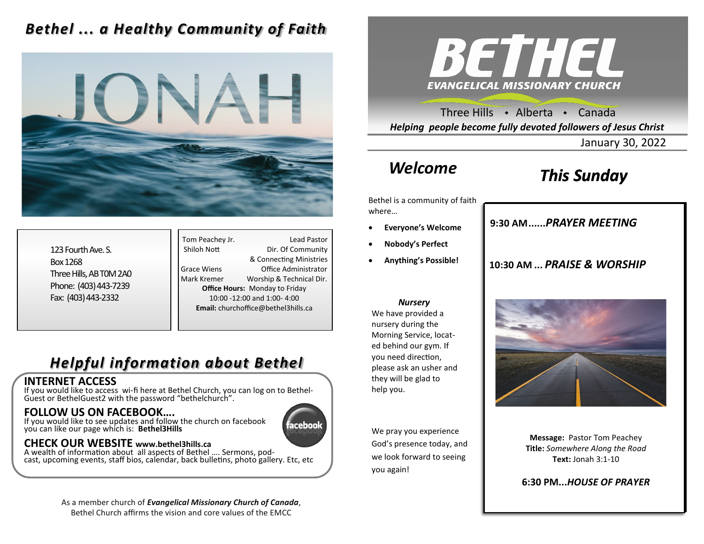### *Bethel ... a Healthy Community of Faith*



123 Fourth Ave. S. Box 1268 Three Hills, AB T0M 2A0 Phone: (403) 443-7239 Fax: (403) 443-2332

Tom Peachey Jr. **Lead Pastor** Shiloh Nott Dir. Of Community & Connecting Ministries Grace Wiens Office Administrator Mark Kremer Worship & Technical Dir. **Office Hours:** Monday to Friday 10:00 -12:00 and 1:00- 4:00 **Email:** churchoffice@bethel3hills.ca

### *Helpful information about Bethel*

#### **INTERNET ACCESS**

If you would like to access wi-fi here at Bethel Church, you can log on to Bethel-Guest or BethelGuest2 with the password "bethelchurch".

#### **FOLLOW US ON FACEBOOK….**

If you would like to see updates and follow the church on facebook you can like our page which is: **Bethel3Hills**

# aceboo

### **CHECK OUR WEBSITE www.bethel3hills.ca**

A wealth of information about all aspects of Bethel …. Sermons, podcast, upcoming events, staff bios, calendar, back bulletins, photo gallery. Etc, etc

> As a member church of *Evangelical Missionary Church of Canada*, Bethel Church affirms the vision and core values of the EMCC



Three Hills  $\rightarrow$  Alberta  $\rightarrow$  Canada *Helping people become fully devoted followers of Jesus Christ*

January 30, 2022

### *Welcome*

### *This Sunday*

Bethel is a community of faith where…

- **Everyone's Welcome**
- **Nobody's Perfect**
- **Anything's Possible!**

**9:30 AM......***SUNDAY SCHOOL* **9:30 AM......***PRAYER MEETING* 

**10:30 AM ...** *PRAISE & WORSHIP* 

**10:30 AM....***PRAISE & WORSHIP* 

#### *Nursery*

We have provided a nursery during the Morning Service, located behind our gym. If you need direction, please ask an usher and they will be glad to help you.

We pray you experience God's presence today, and we look forward to seeing you again!



**6:30 PM...***HOUSE OF PRAYER*